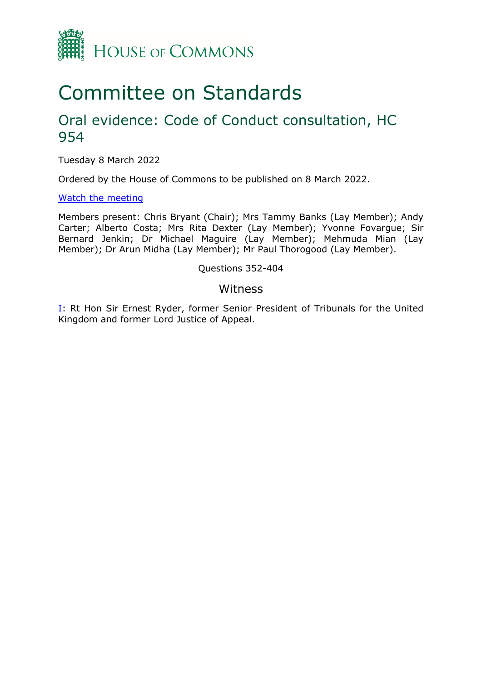

# Committee on Standards

# Oral evidence: Code of Conduct consultation, HC 954

Tuesday 8 March 2022

Ordered by the House of Commons to be published on 8 March 2022.

## [Watch](https://www.parliamentlive.tv/Event/Index/700eabc7-b6fc-4f1b-91dc-565435fc26e6) [the](https://www.parliamentlive.tv/Event/Index/700eabc7-b6fc-4f1b-91dc-565435fc26e6) [meeting](https://www.parliamentlive.tv/Event/Index/700eabc7-b6fc-4f1b-91dc-565435fc26e6)

Members present: Chris Bryant (Chair); Mrs Tammy Banks (Lay Member); Andy Carter; Alberto Costa; Mrs Rita Dexter (Lay Member); Yvonne Fovargue; Sir Bernard Jenkin; Dr Michael Maguire (Lay Member); Mehmuda Mian (Lay Member); Dr Arun Midha (Lay Member); Mr Paul Thorogood (Lay Member).

# Questions 352-404

# Witness

[I:](#page-1-0) Rt Hon Sir Ernest Ryder, former Senior President of Tribunals for the United Kingdom and former Lord Justice of Appeal.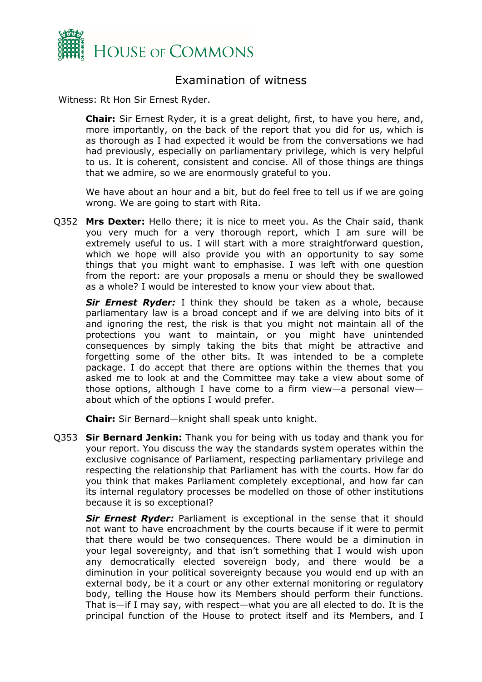

# <span id="page-1-0"></span>Examination of witness

Witness: Rt Hon Sir Ernest Ryder.

**Chair:** Sir Ernest Ryder, it is a great delight, first, to have you here, and, more importantly, on the back of the report that you did for us, which is as thorough as I had expected it would be from the conversations we had had previously, especially on parliamentary privilege, which is very helpful to us. It is coherent, consistent and concise. All of those things are things that we admire, so we are enormously grateful to you.

We have about an hour and a bit, but do feel free to tell us if we are going wrong. We are going to start with Rita.

Q352 **Mrs Dexter:** Hello there; it is nice to meet you. As the Chair said, thank you very much for a very thorough report, which I am sure will be extremely useful to us. I will start with a more straightforward question, which we hope will also provide you with an opportunity to say some things that you might want to emphasise. I was left with one question from the report: are your proposals a menu or should they be swallowed as a whole? I would be interested to know your view about that.

*Sir Ernest Ryder:* I think they should be taken as a whole, because parliamentary law is a broad concept and if we are delving into bits of it and ignoring the rest, the risk is that you might not maintain all of the protections you want to maintain, or you might have unintended consequences by simply taking the bits that might be attractive and forgetting some of the other bits. It was intended to be a complete package. I do accept that there are options within the themes that you asked me to look at and the Committee may take a view about some of those options, although I have come to a firm view—a personal view about which of the options I would prefer.

**Chair:** Sir Bernard—knight shall speak unto knight.

Q353 **Sir Bernard Jenkin:** Thank you for being with us today and thank you for your report. You discuss the way the standards system operates within the exclusive cognisance of Parliament, respecting parliamentary privilege and respecting the relationship that Parliament has with the courts. How far do you think that makes Parliament completely exceptional, and how far can its internal regulatory processes be modelled on those of other institutions because it is so exceptional?

*Sir Ernest Ryder:* Parliament is exceptional in the sense that it should not want to have encroachment by the courts because if it were to permit that there would be two consequences. There would be a diminution in your legal sovereignty, and that isn't something that I would wish upon any democratically elected sovereign body, and there would be a diminution in your political sovereignty because you would end up with an external body, be it a court or any other external monitoring or regulatory body, telling the House how its Members should perform their functions. That is—if I may say, with respect—what you are all elected to do. It is the principal function of the House to protect itself and its Members, and I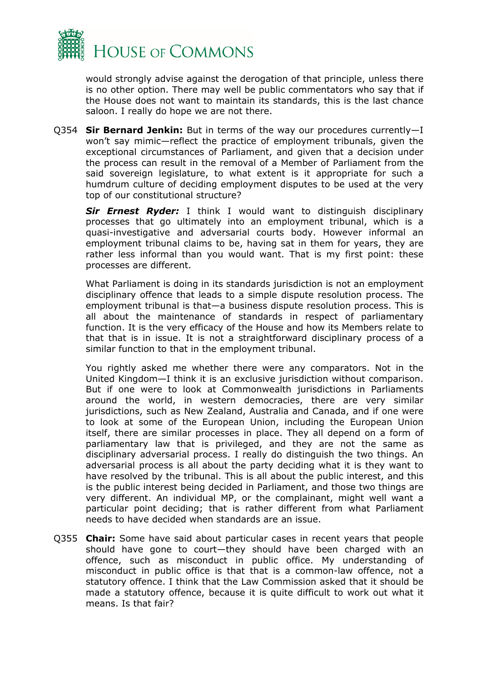

would strongly advise against the derogation of that principle, unless there is no other option. There may well be public commentators who say that if the House does not want to maintain its standards, this is the last chance saloon. I really do hope we are not there.

Q354 **Sir Bernard Jenkin:** But in terms of the way our procedures currently—I won't say mimic—reflect the practice of employment tribunals, given the exceptional circumstances of Parliament, and given that a decision under the process can result in the removal of a Member of Parliament from the said sovereign legislature, to what extent is it appropriate for such a humdrum culture of deciding employment disputes to be used at the very top of our constitutional structure?

*Sir Ernest Ryder:* I think I would want to distinguish disciplinary processes that go ultimately into an employment tribunal, which is a quasi-investigative and adversarial courts body. However informal an employment tribunal claims to be, having sat in them for years, they are rather less informal than you would want. That is my first point: these processes are different.

What Parliament is doing in its standards jurisdiction is not an employment disciplinary offence that leads to a simple dispute resolution process. The employment tribunal is that—a business dispute resolution process. This is all about the maintenance of standards in respect of parliamentary function. It is the very efficacy of the House and how its Members relate to that that is in issue. It is not a straightforward disciplinary process of a similar function to that in the employment tribunal.

You rightly asked me whether there were any comparators. Not in the United Kingdom—I think it is an exclusive jurisdiction without comparison. But if one were to look at Commonwealth jurisdictions in Parliaments around the world, in western democracies, there are very similar jurisdictions, such as New Zealand, Australia and Canada, and if one were to look at some of the European Union, including the European Union itself, there are similar processes in place. They all depend on a form of parliamentary law that is privileged, and they are not the same as disciplinary adversarial process. I really do distinguish the two things. An adversarial process is all about the party deciding what it is they want to have resolved by the tribunal. This is all about the public interest, and this is the public interest being decided in Parliament, and those two things are very different. An individual MP, or the complainant, might well want a particular point deciding; that is rather different from what Parliament needs to have decided when standards are an issue.

Q355 **Chair:** Some have said about particular cases in recent years that people should have gone to court—they should have been charged with an offence, such as misconduct in public office. My understanding of misconduct in public office is that that is a common-law offence, not a statutory offence. I think that the Law Commission asked that it should be made a statutory offence, because it is quite difficult to work out what it means. Is that fair?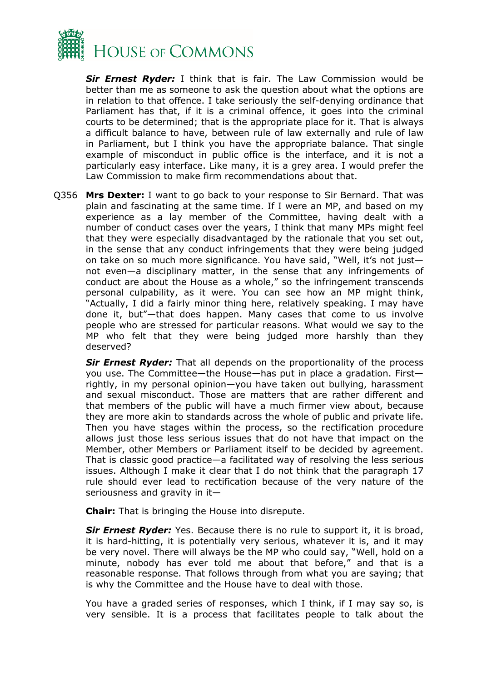

*Sir Ernest Ryder:* I think that is fair. The Law Commission would be better than me as someone to ask the question about what the options are in relation to that offence. I take seriously the self-denying ordinance that Parliament has that, if it is a criminal offence, it goes into the criminal courts to be determined; that is the appropriate place for it. That is always a difficult balance to have, between rule of law externally and rule of law in Parliament, but I think you have the appropriate balance. That single example of misconduct in public office is the interface, and it is not a particularly easy interface. Like many, it is a grey area. I would prefer the Law Commission to make firm recommendations about that.

Q356 **Mrs Dexter:** I want to go back to your response to Sir Bernard. That was plain and fascinating at the same time. If I were an MP, and based on my experience as a lay member of the Committee, having dealt with a number of conduct cases over the years, I think that many MPs might feel that they were especially disadvantaged by the rationale that you set out, in the sense that any conduct infringements that they were being judged on take on so much more significance. You have said, "Well, it's not just not even—a disciplinary matter, in the sense that any infringements of conduct are about the House as a whole," so the infringement transcends personal culpability, as it were. You can see how an MP might think, "Actually, I did a fairly minor thing here, relatively speaking. I may have done it, but"—that does happen. Many cases that come to us involve people who are stressed for particular reasons. What would we say to the MP who felt that they were being judged more harshly than they deserved?

*Sir Ernest Ryder:* That all depends on the proportionality of the process you use. The Committee—the House—has put in place a gradation. First rightly, in my personal opinion—you have taken out bullying, harassment and sexual misconduct. Those are matters that are rather different and that members of the public will have a much firmer view about, because they are more akin to standards across the whole of public and private life. Then you have stages within the process, so the rectification procedure allows just those less serious issues that do not have that impact on the Member, other Members or Parliament itself to be decided by agreement. That is classic good practice—a facilitated way of resolving the less serious issues. Although I make it clear that I do not think that the paragraph 17 rule should ever lead to rectification because of the very nature of the seriousness and gravity in it-

**Chair:** That is bringing the House into disrepute.

*Sir Ernest Ryder:* Yes. Because there is no rule to support it, it is broad, it is hard-hitting, it is potentially very serious, whatever it is, and it may be very novel. There will always be the MP who could say, "Well, hold on a minute, nobody has ever told me about that before," and that is a reasonable response. That follows through from what you are saying; that is why the Committee and the House have to deal with those.

You have a graded series of responses, which I think, if I may say so, is very sensible. It is a process that facilitates people to talk about the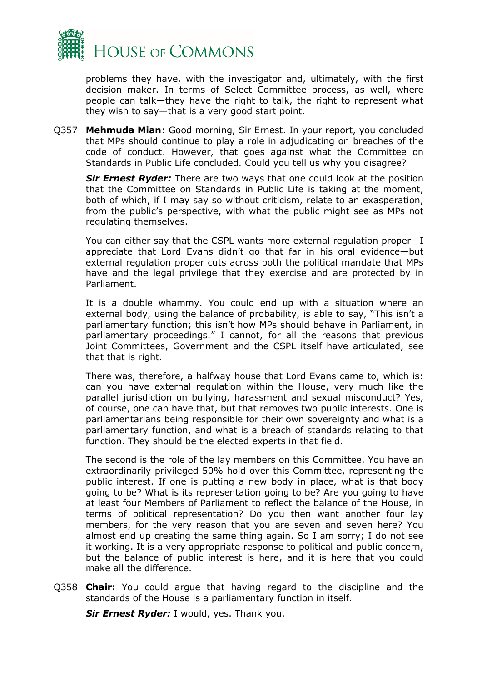

problems they have, with the investigator and, ultimately, with the first decision maker. In terms of Select Committee process, as well, where people can talk—they have the right to talk, the right to represent what they wish to say—that is a very good start point.

Q357 **Mehmuda Mian**: Good morning, Sir Ernest. In your report, you concluded that MPs should continue to play a role in adjudicating on breaches of the code of conduct. However, that goes against what the Committee on Standards in Public Life concluded. Could you tell us why you disagree?

*Sir Ernest Ryder:* There are two ways that one could look at the position that the Committee on Standards in Public Life is taking at the moment, both of which, if I may say so without criticism, relate to an exasperation, from the public's perspective, with what the public might see as MPs not regulating themselves.

You can either say that the CSPL wants more external regulation proper—I appreciate that Lord Evans didn't go that far in his oral evidence—but external regulation proper cuts across both the political mandate that MPs have and the legal privilege that they exercise and are protected by in Parliament.

It is a double whammy. You could end up with a situation where an external body, using the balance of probability, is able to say, "This isn't a parliamentary function; this isn't how MPs should behave in Parliament, in parliamentary proceedings." I cannot, for all the reasons that previous Joint Committees, Government and the CSPL itself have articulated, see that that is right.

There was, therefore, a halfway house that Lord Evans came to, which is: can you have external regulation within the House, very much like the parallel jurisdiction on bullying, harassment and sexual misconduct? Yes, of course, one can have that, but that removes two public interests. One is parliamentarians being responsible for their own sovereignty and what is a parliamentary function, and what is a breach of standards relating to that function. They should be the elected experts in that field.

The second is the role of the lay members on this Committee. You have an extraordinarily privileged 50% hold over this Committee, representing the public interest. If one is putting a new body in place, what is that body going to be? What is its representation going to be? Are you going to have at least four Members of Parliament to reflect the balance of the House, in terms of political representation? Do you then want another four lay members, for the very reason that you are seven and seven here? You almost end up creating the same thing again. So I am sorry; I do not see it working. It is a very appropriate response to political and public concern, but the balance of public interest is here, and it is here that you could make all the difference.

Q358 **Chair:** You could argue that having regard to the discipline and the standards of the House is a parliamentary function in itself.

*Sir Ernest Ryder:* I would, yes. Thank you.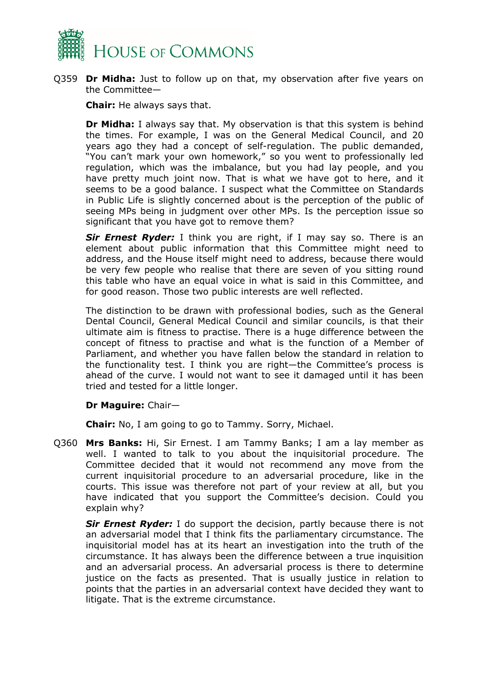

Q359 **Dr Midha:** Just to follow up on that, my observation after five years on the Committee—

**Chair:** He always says that.

**Dr Midha:** I always say that. My observation is that this system is behind the times. For example, I was on the General Medical Council, and 20 years ago they had a concept of self-regulation. The public demanded, "You can't mark your own homework," so you went to professionally led regulation, which was the imbalance, but you had lay people, and you have pretty much joint now. That is what we have got to here, and it seems to be a good balance. I suspect what the Committee on Standards in Public Life is slightly concerned about is the perception of the public of seeing MPs being in judgment over other MPs. Is the perception issue so significant that you have got to remove them?

**Sir Ernest Ryder:** I think you are right, if I may say so. There is an element about public information that this Committee might need to address, and the House itself might need to address, because there would be very few people who realise that there are seven of you sitting round this table who have an equal voice in what is said in this Committee, and for good reason. Those two public interests are well reflected.

The distinction to be drawn with professional bodies, such as the General Dental Council, General Medical Council and similar councils, is that their ultimate aim is fitness to practise. There is a huge difference between the concept of fitness to practise and what is the function of a Member of Parliament, and whether you have fallen below the standard in relation to the functionality test. I think you are right—the Committee's process is ahead of the curve. I would not want to see it damaged until it has been tried and tested for a little longer.

## **Dr Maguire:** Chair—

**Chair:** No, I am going to go to Tammy. Sorry, Michael.

Q360 **Mrs Banks:** Hi, Sir Ernest. I am Tammy Banks; I am a lay member as well. I wanted to talk to you about the inquisitorial procedure. The Committee decided that it would not recommend any move from the current inquisitorial procedure to an adversarial procedure, like in the courts. This issue was therefore not part of your review at all, but you have indicated that you support the Committee's decision. Could you explain why?

**Sir Ernest Ryder:** I do support the decision, partly because there is not an adversarial model that I think fits the parliamentary circumstance. The inquisitorial model has at its heart an investigation into the truth of the circumstance. It has always been the difference between a true inquisition and an adversarial process. An adversarial process is there to determine justice on the facts as presented. That is usually justice in relation to points that the parties in an adversarial context have decided they want to litigate. That is the extreme circumstance.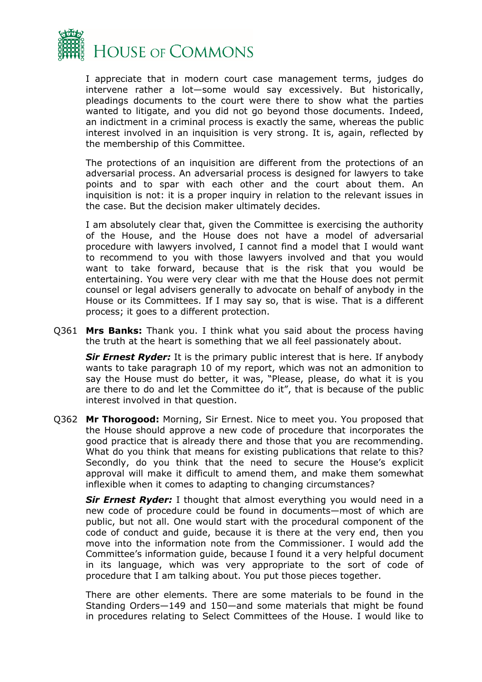

I appreciate that in modern court case management terms, judges do intervene rather a lot—some would say excessively. But historically, pleadings documents to the court were there to show what the parties wanted to litigate, and you did not go beyond those documents. Indeed, an indictment in a criminal process is exactly the same, whereas the public interest involved in an inquisition is very strong. It is, again, reflected by the membership of this Committee.

The protections of an inquisition are different from the protections of an adversarial process. An adversarial process is designed for lawyers to take points and to spar with each other and the court about them. An inquisition is not: it is a proper inquiry in relation to the relevant issues in the case. But the decision maker ultimately decides.

I am absolutely clear that, given the Committee is exercising the authority of the House, and the House does not have a model of adversarial procedure with lawyers involved, I cannot find a model that I would want to recommend to you with those lawyers involved and that you would want to take forward, because that is the risk that you would be entertaining. You were very clear with me that the House does not permit counsel or legal advisers generally to advocate on behalf of anybody in the House or its Committees. If I may say so, that is wise. That is a different process; it goes to a different protection.

Q361 **Mrs Banks:** Thank you. I think what you said about the process having the truth at the heart is something that we all feel passionately about.

*Sir Ernest Ryder:* It is the primary public interest that is here. If anybody wants to take paragraph 10 of my report, which was not an admonition to say the House must do better, it was, "Please, please, do what it is you are there to do and let the Committee do it", that is because of the public interest involved in that question.

Q362 **Mr Thorogood:** Morning, Sir Ernest. Nice to meet you. You proposed that the House should approve a new code of procedure that incorporates the good practice that is already there and those that you are recommending. What do you think that means for existing publications that relate to this? Secondly, do you think that the need to secure the House's explicit approval will make it difficult to amend them, and make them somewhat inflexible when it comes to adapting to changing circumstances?

*Sir Ernest Ryder:* I thought that almost everything you would need in a new code of procedure could be found in documents—most of which are public, but not all. One would start with the procedural component of the code of conduct and guide, because it is there at the very end, then you move into the information note from the Commissioner. I would add the Committee's information guide, because I found it a very helpful document in its language, which was very appropriate to the sort of code of procedure that I am talking about. You put those pieces together.

There are other elements. There are some materials to be found in the Standing Orders—149 and 150—and some materials that might be found in procedures relating to Select Committees of the House. I would like to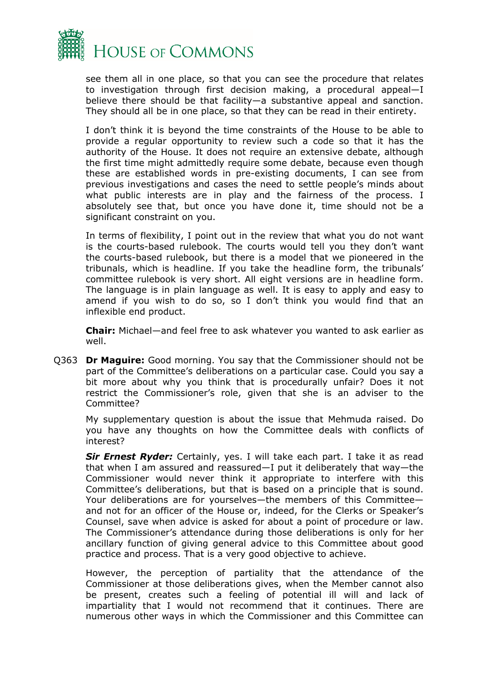

see them all in one place, so that you can see the procedure that relates to investigation through first decision making, a procedural appeal—I believe there should be that facility—a substantive appeal and sanction. They should all be in one place, so that they can be read in their entirety.

I don't think it is beyond the time constraints of the House to be able to provide a regular opportunity to review such a code so that it has the authority of the House. It does not require an extensive debate, although the first time might admittedly require some debate, because even though these are established words in pre-existing documents, I can see from previous investigations and cases the need to settle people's minds about what public interests are in play and the fairness of the process. I absolutely see that, but once you have done it, time should not be a significant constraint on you.

In terms of flexibility, I point out in the review that what you do not want is the courts-based rulebook. The courts would tell you they don't want the courts-based rulebook, but there is a model that we pioneered in the tribunals, which is headline. If you take the headline form, the tribunals' committee rulebook is very short. All eight versions are in headline form. The language is in plain language as well. It is easy to apply and easy to amend if you wish to do so, so I don't think you would find that an inflexible end product.

**Chair:** Michael—and feel free to ask whatever you wanted to ask earlier as well.

Q363 **Dr Maguire:** Good morning. You say that the Commissioner should not be part of the Committee's deliberations on a particular case. Could you say a bit more about why you think that is procedurally unfair? Does it not restrict the Commissioner's role, given that she is an adviser to the Committee?

My supplementary question is about the issue that Mehmuda raised. Do you have any thoughts on how the Committee deals with conflicts of interest?

*Sir Ernest Ryder:* Certainly, yes. I will take each part. I take it as read that when I am assured and reassured—I put it deliberately that way—the Commissioner would never think it appropriate to interfere with this Committee's deliberations, but that is based on a principle that is sound. Your deliberations are for yourselves—the members of this Committee and not for an officer of the House or, indeed, for the Clerks or Speaker's Counsel, save when advice is asked for about a point of procedure or law. The Commissioner's attendance during those deliberations is only for her ancillary function of giving general advice to this Committee about good practice and process. That is a very good objective to achieve.

However, the perception of partiality that the attendance of the Commissioner at those deliberations gives, when the Member cannot also be present, creates such a feeling of potential ill will and lack of impartiality that I would not recommend that it continues. There are numerous other ways in which the Commissioner and this Committee can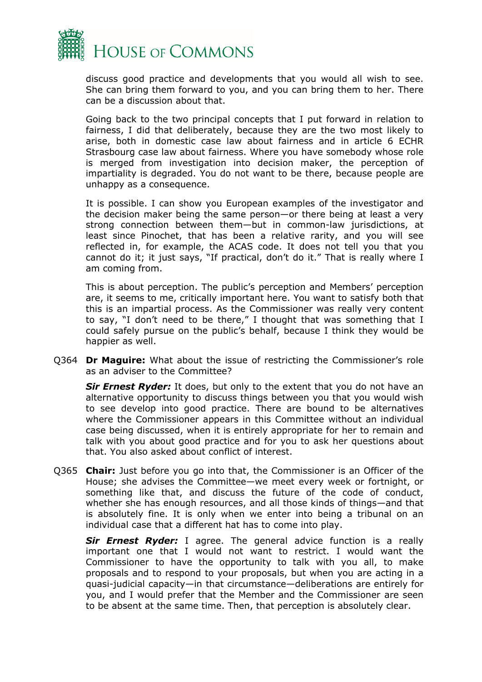

discuss good practice and developments that you would all wish to see. She can bring them forward to you, and you can bring them to her. There can be a discussion about that.

Going back to the two principal concepts that I put forward in relation to fairness, I did that deliberately, because they are the two most likely to arise, both in domestic case law about fairness and in article 6 ECHR Strasbourg case law about fairness. Where you have somebody whose role is merged from investigation into decision maker, the perception of impartiality is degraded. You do not want to be there, because people are unhappy as a consequence.

It is possible. I can show you European examples of the investigator and the decision maker being the same person—or there being at least a very strong connection between them—but in common-law jurisdictions, at least since Pinochet, that has been a relative rarity, and you will see reflected in, for example, the ACAS code. It does not tell you that you cannot do it; it just says, "If practical, don't do it." That is really where I am coming from.

This is about perception. The public's perception and Members' perception are, it seems to me, critically important here. You want to satisfy both that this is an impartial process. As the Commissioner was really very content to say, "I don't need to be there," I thought that was something that I could safely pursue on the public's behalf, because I think they would be happier as well.

Q364 **Dr Maguire:** What about the issue of restricting the Commissioner's role as an adviser to the Committee?

**Sir Ernest Ryder:** It does, but only to the extent that you do not have an alternative opportunity to discuss things between you that you would wish to see develop into good practice. There are bound to be alternatives where the Commissioner appears in this Committee without an individual case being discussed, when it is entirely appropriate for her to remain and talk with you about good practice and for you to ask her questions about that. You also asked about conflict of interest.

Q365 **Chair:** Just before you go into that, the Commissioner is an Officer of the House; she advises the Committee—we meet every week or fortnight, or something like that, and discuss the future of the code of conduct, whether she has enough resources, and all those kinds of things—and that is absolutely fine. It is only when we enter into being a tribunal on an individual case that a different hat has to come into play.

*Sir Ernest Ryder:* I agree. The general advice function is a really important one that I would not want to restrict. I would want the Commissioner to have the opportunity to talk with you all, to make proposals and to respond to your proposals, but when you are acting in a quasi-judicial capacity—in that circumstance—deliberations are entirely for you, and I would prefer that the Member and the Commissioner are seen to be absent at the same time. Then, that perception is absolutely clear.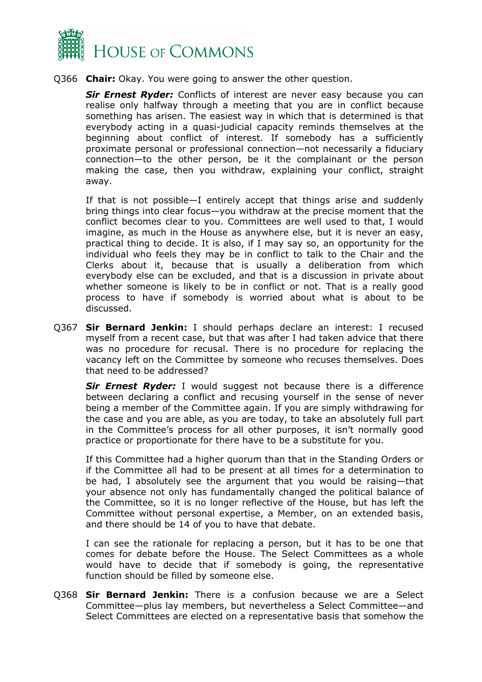

Q366 **Chair:** Okay. You were going to answer the other question.

**Sir Ernest Ryder:** Conflicts of interest are never easy because you can realise only halfway through a meeting that you are in conflict because something has arisen. The easiest way in which that is determined is that everybody acting in a quasi-judicial capacity reminds themselves at the beginning about conflict of interest. If somebody has a sufficiently proximate personal or professional connection—not necessarily a fiduciary connection—to the other person, be it the complainant or the person making the case, then you withdraw, explaining your conflict, straight away.

If that is not possible—I entirely accept that things arise and suddenly bring things into clear focus—you withdraw at the precise moment that the conflict becomes clear to you. Committees are well used to that, I would imagine, as much in the House as anywhere else, but it is never an easy, practical thing to decide. It is also, if I may say so, an opportunity for the individual who feels they may be in conflict to talk to the Chair and the Clerks about it, because that is usually a deliberation from which everybody else can be excluded, and that is a discussion in private about whether someone is likely to be in conflict or not. That is a really good process to have if somebody is worried about what is about to be discussed.

Q367 **Sir Bernard Jenkin:** I should perhaps declare an interest: I recused myself from a recent case, but that was after I had taken advice that there was no procedure for recusal. There is no procedure for replacing the vacancy left on the Committee by someone who recuses themselves. Does that need to be addressed?

*Sir Ernest Ryder:* I would suggest not because there is a difference between declaring a conflict and recusing yourself in the sense of never being a member of the Committee again. If you are simply withdrawing for the case and you are able, as you are today, to take an absolutely full part in the Committee's process for all other purposes, it isn't normally good practice or proportionate for there have to be a substitute for you.

If this Committee had a higher quorum than that in the Standing Orders or if the Committee all had to be present at all times for a determination to be had, I absolutely see the argument that you would be raising—that your absence not only has fundamentally changed the political balance of the Committee, so it is no longer reflective of the House, but has left the Committee without personal expertise, a Member, on an extended basis, and there should be 14 of you to have that debate.

I can see the rationale for replacing a person, but it has to be one that comes for debate before the House. The Select Committees as a whole would have to decide that if somebody is going, the representative function should be filled by someone else.

Q368 **Sir Bernard Jenkin:** There is a confusion because we are a Select Committee—plus lay members, but nevertheless a Select Committee—and Select Committees are elected on a representative basis that somehow the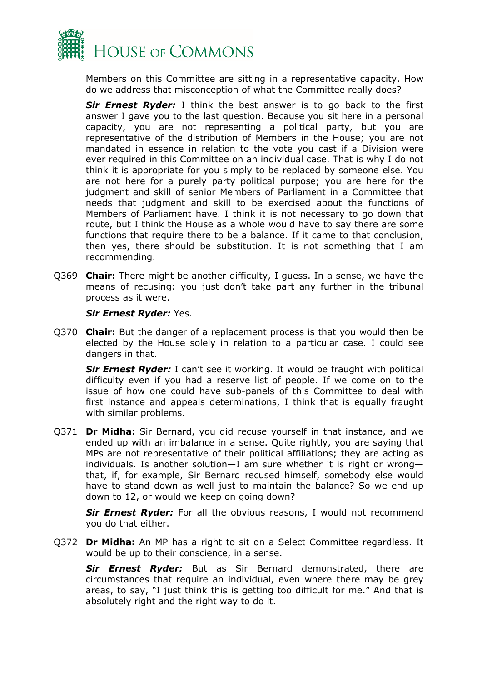

Members on this Committee are sitting in a representative capacity. How do we address that misconception of what the Committee really does?

*Sir Ernest Ryder:* I think the best answer is to go back to the first answer I gave you to the last question. Because you sit here in a personal capacity, you are not representing a political party, but you are representative of the distribution of Members in the House; you are not mandated in essence in relation to the vote you cast if a Division were ever required in this Committee on an individual case. That is why I do not think it is appropriate for you simply to be replaced by someone else. You are not here for a purely party political purpose; you are here for the judgment and skill of senior Members of Parliament in a Committee that needs that judgment and skill to be exercised about the functions of Members of Parliament have. I think it is not necessary to go down that route, but I think the House as a whole would have to say there are some functions that require there to be a balance. If it came to that conclusion, then yes, there should be substitution. It is not something that I am recommending.

Q369 **Chair:** There might be another difficulty, I guess. In a sense, we have the means of recusing: you just don't take part any further in the tribunal process as it were.

*Sir Ernest Ryder:* Yes.

Q370 **Chair:** But the danger of a replacement process is that you would then be elected by the House solely in relation to a particular case. I could see dangers in that.

*Sir Ernest Ryder:* I can't see it working. It would be fraught with political difficulty even if you had a reserve list of people. If we come on to the issue of how one could have sub-panels of this Committee to deal with first instance and appeals determinations, I think that is equally fraught with similar problems.

Q371 **Dr Midha:** Sir Bernard, you did recuse yourself in that instance, and we ended up with an imbalance in a sense. Quite rightly, you are saying that MPs are not representative of their political affiliations; they are acting as individuals. Is another solution—I am sure whether it is right or wrong that, if, for example, Sir Bernard recused himself, somebody else would have to stand down as well just to maintain the balance? So we end up down to 12, or would we keep on going down?

**Sir Ernest Ryder:** For all the obvious reasons, I would not recommend you do that either.

Q372 **Dr Midha:** An MP has a right to sit on a Select Committee regardless. It would be up to their conscience, in a sense.

*Sir Ernest Ryder:* But as Sir Bernard demonstrated, there are circumstances that require an individual, even where there may be grey areas, to say, "I just think this is getting too difficult for me." And that is absolutely right and the right way to do it.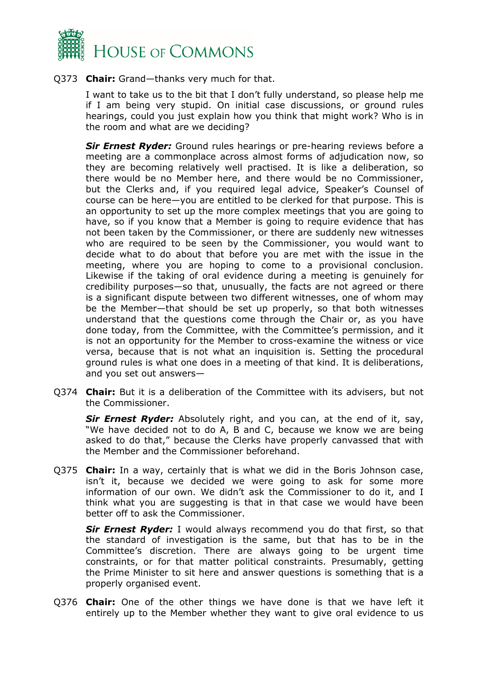

Q373 **Chair:** Grand—thanks very much for that.

I want to take us to the bit that I don't fully understand, so please help me if I am being very stupid. On initial case discussions, or ground rules hearings, could you just explain how you think that might work? Who is in the room and what are we deciding?

*Sir Ernest Ryder:* Ground rules hearings or pre-hearing reviews before a meeting are a commonplace across almost forms of adjudication now, so they are becoming relatively well practised. It is like a deliberation, so there would be no Member here, and there would be no Commissioner, but the Clerks and, if you required legal advice, Speaker's Counsel of course can be here—you are entitled to be clerked for that purpose. This is an opportunity to set up the more complex meetings that you are going to have, so if you know that a Member is going to require evidence that has not been taken by the Commissioner, or there are suddenly new witnesses who are required to be seen by the Commissioner, you would want to decide what to do about that before you are met with the issue in the meeting, where you are hoping to come to a provisional conclusion. Likewise if the taking of oral evidence during a meeting is genuinely for credibility purposes—so that, unusually, the facts are not agreed or there is a significant dispute between two different witnesses, one of whom may be the Member—that should be set up properly, so that both witnesses understand that the questions come through the Chair or, as you have done today, from the Committee, with the Committee's permission, and it is not an opportunity for the Member to cross-examine the witness or vice versa, because that is not what an inquisition is. Setting the procedural ground rules is what one does in a meeting of that kind. It is deliberations, and you set out answers—

Q374 **Chair:** But it is a deliberation of the Committee with its advisers, but not the Commissioner.

*Sir Ernest Ryder:* Absolutely right, and you can, at the end of it, say, "We have decided not to do A, B and C, because we know we are being asked to do that," because the Clerks have properly canvassed that with the Member and the Commissioner beforehand.

Q375 **Chair:** In a way, certainly that is what we did in the Boris Johnson case, isn't it, because we decided we were going to ask for some more information of our own. We didn't ask the Commissioner to do it, and I think what you are suggesting is that in that case we would have been better off to ask the Commissioner.

*Sir Ernest Ryder:* I would always recommend you do that first, so that the standard of investigation is the same, but that has to be in the Committee's discretion. There are always going to be urgent time constraints, or for that matter political constraints. Presumably, getting the Prime Minister to sit here and answer questions is something that is a properly organised event.

Q376 **Chair:** One of the other things we have done is that we have left it entirely up to the Member whether they want to give oral evidence to us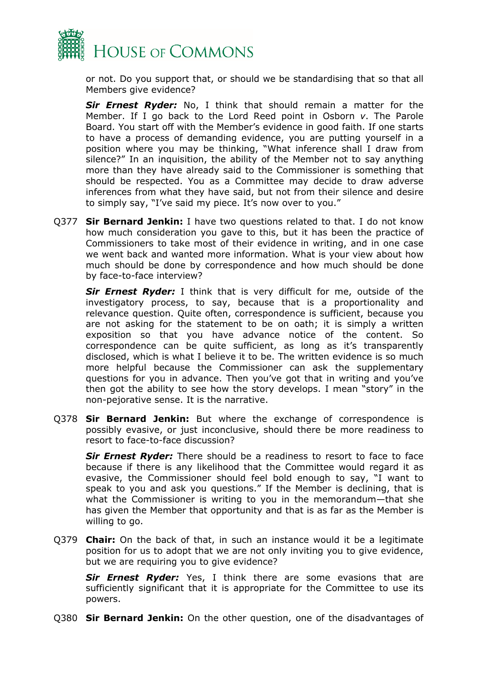

or not. Do you support that, or should we be standardising that so that all Members give evidence?

*Sir Ernest Ryder:* No, I think that should remain a matter for the Member. If I go back to the Lord Reed point in Osborn *v*. The Parole Board. You start off with the Member's evidence in good faith. If one starts to have a process of demanding evidence, you are putting yourself in a position where you may be thinking, "What inference shall I draw from silence?" In an inquisition, the ability of the Member not to say anything more than they have already said to the Commissioner is something that should be respected. You as a Committee may decide to draw adverse inferences from what they have said, but not from their silence and desire to simply say, "I've said my piece. It's now over to you."

Q377 **Sir Bernard Jenkin:** I have two questions related to that. I do not know how much consideration you gave to this, but it has been the practice of Commissioners to take most of their evidence in writing, and in one case we went back and wanted more information. What is your view about how much should be done by correspondence and how much should be done by face-to-face interview?

*Sir Ernest Ryder:* I think that is very difficult for me, outside of the investigatory process, to say, because that is a proportionality and relevance question. Quite often, correspondence is sufficient, because you are not asking for the statement to be on oath; it is simply a written exposition so that you have advance notice of the content. So correspondence can be quite sufficient, as long as it's transparently disclosed, which is what I believe it to be. The written evidence is so much more helpful because the Commissioner can ask the supplementary questions for you in advance. Then you've got that in writing and you've then got the ability to see how the story develops. I mean "story" in the non-pejorative sense. It is the narrative.

Q378 **Sir Bernard Jenkin:** But where the exchange of correspondence is possibly evasive, or just inconclusive, should there be more readiness to resort to face-to-face discussion?

*Sir Ernest Ryder:* There should be a readiness to resort to face to face because if there is any likelihood that the Committee would regard it as evasive, the Commissioner should feel bold enough to say, "I want to speak to you and ask you questions." If the Member is declining, that is what the Commissioner is writing to you in the memorandum—that she has given the Member that opportunity and that is as far as the Member is willing to go.

Q379 **Chair:** On the back of that, in such an instance would it be a legitimate position for us to adopt that we are not only inviting you to give evidence, but we are requiring you to give evidence?

*Sir Ernest Ryder:* Yes, I think there are some evasions that are sufficiently significant that it is appropriate for the Committee to use its powers.

Q380 **Sir Bernard Jenkin:** On the other question, one of the disadvantages of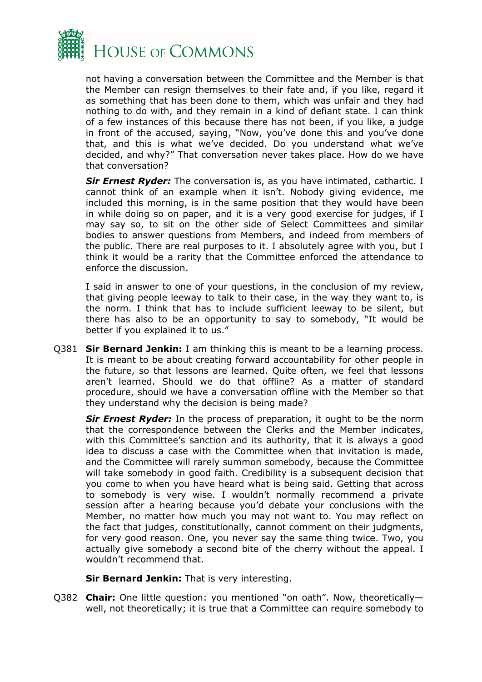

not having a conversation between the Committee and the Member is that the Member can resign themselves to their fate and, if you like, regard it as something that has been done to them, which was unfair and they had nothing to do with, and they remain in a kind of defiant state. I can think of a few instances of this because there has not been, if you like, a judge in front of the accused, saying, "Now, you've done this and you've done that, and this is what we've decided. Do you understand what we've decided, and why?" That conversation never takes place. How do we have that conversation?

**Sir Ernest Ryder:** The conversation is, as you have intimated, cathartic. I cannot think of an example when it isn't. Nobody giving evidence, me included this morning, is in the same position that they would have been in while doing so on paper, and it is a very good exercise for judges, if I may say so, to sit on the other side of Select Committees and similar bodies to answer questions from Members, and indeed from members of the public. There are real purposes to it. I absolutely agree with you, but I think it would be a rarity that the Committee enforced the attendance to enforce the discussion.

I said in answer to one of your questions, in the conclusion of my review, that giving people leeway to talk to their case, in the way they want to, is the norm. I think that has to include sufficient leeway to be silent, but there has also to be an opportunity to say to somebody, "It would be better if you explained it to us."

Q381 **Sir Bernard Jenkin:** I am thinking this is meant to be a learning process. It is meant to be about creating forward accountability for other people in the future, so that lessons are learned. Quite often, we feel that lessons aren't learned. Should we do that offline? As a matter of standard procedure, should we have a conversation offline with the Member so that they understand why the decision is being made?

*Sir Ernest Ryder:* In the process of preparation, it ought to be the norm that the correspondence between the Clerks and the Member indicates, with this Committee's sanction and its authority, that it is always a good idea to discuss a case with the Committee when that invitation is made, and the Committee will rarely summon somebody, because the Committee will take somebody in good faith. Credibility is a subsequent decision that you come to when you have heard what is being said. Getting that across to somebody is very wise. I wouldn't normally recommend a private session after a hearing because you'd debate your conclusions with the Member, no matter how much you may not want to. You may reflect on the fact that judges, constitutionally, cannot comment on their judgments, for very good reason. One, you never say the same thing twice. Two, you actually give somebody a second bite of the cherry without the appeal. I wouldn't recommend that.

**Sir Bernard Jenkin:** That is very interesting.

Q382 **Chair:** One little question: you mentioned "on oath". Now, theoretically well, not theoretically; it is true that a Committee can require somebody to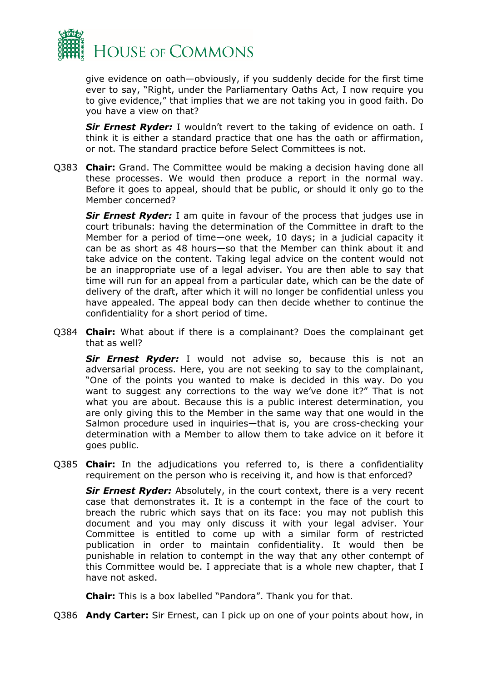

give evidence on oath—obviously, if you suddenly decide for the first time ever to say, "Right, under the Parliamentary Oaths Act, I now require you to give evidence," that implies that we are not taking you in good faith. Do you have a view on that?

*Sir Ernest Ryder:* I wouldn't revert to the taking of evidence on oath. I think it is either a standard practice that one has the oath or affirmation, or not. The standard practice before Select Committees is not.

Q383 **Chair:** Grand. The Committee would be making a decision having done all these processes. We would then produce a report in the normal way. Before it goes to appeal, should that be public, or should it only go to the Member concerned?

*Sir Ernest Ryder:* I am quite in favour of the process that judges use in court tribunals: having the determination of the Committee in draft to the Member for a period of time—one week, 10 days; in a judicial capacity it can be as short as 48 hours—so that the Member can think about it and take advice on the content. Taking legal advice on the content would not be an inappropriate use of a legal adviser. You are then able to say that time will run for an appeal from a particular date, which can be the date of delivery of the draft, after which it will no longer be confidential unless you have appealed. The appeal body can then decide whether to continue the confidentiality for a short period of time.

Q384 **Chair:** What about if there is a complainant? Does the complainant get that as well?

*Sir Ernest Ryder:* I would not advise so, because this is not an adversarial process. Here, you are not seeking to say to the complainant, "One of the points you wanted to make is decided in this way. Do you want to suggest any corrections to the way we've done it?" That is not what you are about. Because this is a public interest determination, you are only giving this to the Member in the same way that one would in the Salmon procedure used in inquiries—that is, you are cross-checking your determination with a Member to allow them to take advice on it before it goes public.

Q385 **Chair:** In the adjudications you referred to, is there a confidentiality requirement on the person who is receiving it, and how is that enforced?

*Sir Ernest Ryder:* Absolutely, in the court context, there is a very recent case that demonstrates it. It is a contempt in the face of the court to breach the rubric which says that on its face: you may not publish this document and you may only discuss it with your legal adviser. Your Committee is entitled to come up with a similar form of restricted publication in order to maintain confidentiality. It would then be punishable in relation to contempt in the way that any other contempt of this Committee would be. I appreciate that is a whole new chapter, that I have not asked.

**Chair:** This is a box labelled "Pandora". Thank you for that.

Q386 **Andy Carter:** Sir Ernest, can I pick up on one of your points about how, in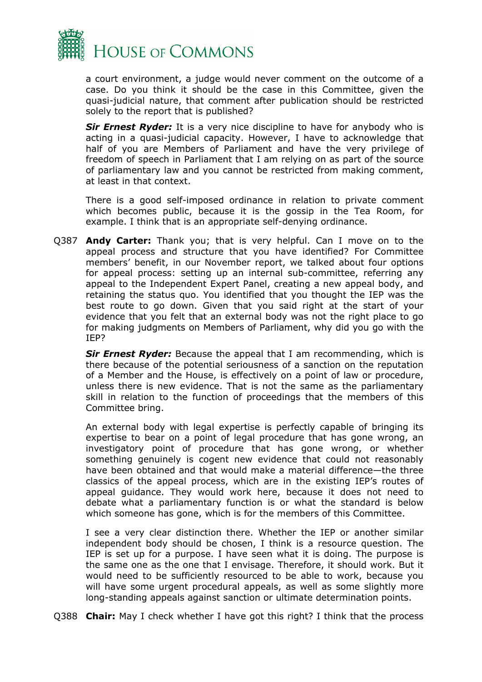

a court environment, a judge would never comment on the outcome of a case. Do you think it should be the case in this Committee, given the quasi-judicial nature, that comment after publication should be restricted solely to the report that is published?

*Sir Ernest Ryder:* It is a very nice discipline to have for anybody who is acting in a quasi-judicial capacity. However, I have to acknowledge that half of you are Members of Parliament and have the very privilege of freedom of speech in Parliament that I am relying on as part of the source of parliamentary law and you cannot be restricted from making comment, at least in that context.

There is a good self-imposed ordinance in relation to private comment which becomes public, because it is the gossip in the Tea Room, for example. I think that is an appropriate self-denying ordinance.

Q387 **Andy Carter:** Thank you; that is very helpful. Can I move on to the appeal process and structure that you have identified? For Committee members' benefit, in our November report, we talked about four options for appeal process: setting up an internal sub-committee, referring any appeal to the Independent Expert Panel, creating a new appeal body, and retaining the status quo. You identified that you thought the IEP was the best route to go down. Given that you said right at the start of your evidence that you felt that an external body was not the right place to go for making judgments on Members of Parliament, why did you go with the IEP?

*Sir Ernest Ryder:* Because the appeal that I am recommending, which is there because of the potential seriousness of a sanction on the reputation of a Member and the House, is effectively on a point of law or procedure, unless there is new evidence. That is not the same as the parliamentary skill in relation to the function of proceedings that the members of this Committee bring.

An external body with legal expertise is perfectly capable of bringing its expertise to bear on a point of legal procedure that has gone wrong, an investigatory point of procedure that has gone wrong, or whether something genuinely is cogent new evidence that could not reasonably have been obtained and that would make a material difference—the three classics of the appeal process, which are in the existing IEP's routes of appeal guidance. They would work here, because it does not need to debate what a parliamentary function is or what the standard is below which someone has gone, which is for the members of this Committee.

I see a very clear distinction there. Whether the IEP or another similar independent body should be chosen, I think is a resource question. The IEP is set up for a purpose. I have seen what it is doing. The purpose is the same one as the one that I envisage. Therefore, it should work. But it would need to be sufficiently resourced to be able to work, because you will have some urgent procedural appeals, as well as some slightly more long-standing appeals against sanction or ultimate determination points.

Q388 **Chair:** May I check whether I have got this right? I think that the process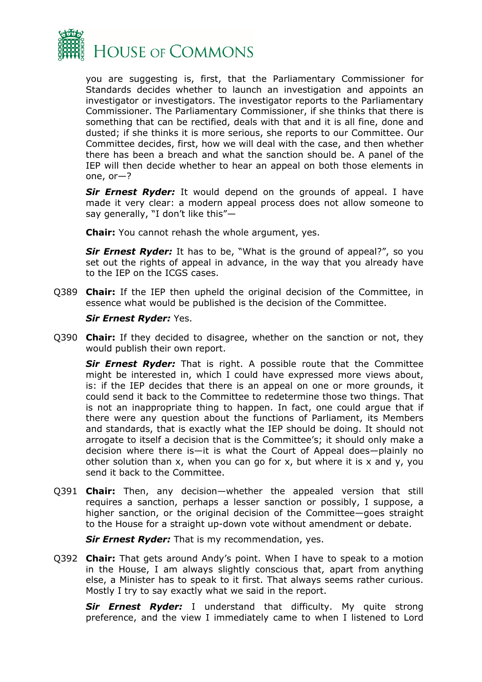

you are suggesting is, first, that the Parliamentary Commissioner for Standards decides whether to launch an investigation and appoints an investigator or investigators. The investigator reports to the Parliamentary Commissioner. The Parliamentary Commissioner, if she thinks that there is something that can be rectified, deals with that and it is all fine, done and dusted; if she thinks it is more serious, she reports to our Committee. Our Committee decides, first, how we will deal with the case, and then whether there has been a breach and what the sanction should be. A panel of the IEP will then decide whether to hear an appeal on both those elements in one, or—?

*Sir Ernest Ryder:* It would depend on the grounds of appeal. I have made it very clear: a modern appeal process does not allow someone to say generally, "I don't like this"—

**Chair:** You cannot rehash the whole argument, yes.

*Sir Ernest Ryder:* It has to be, "What is the ground of appeal?", so you set out the rights of appeal in advance, in the way that you already have to the IEP on the ICGS cases.

Q389 **Chair:** If the IEP then upheld the original decision of the Committee, in essence what would be published is the decision of the Committee.

#### *Sir Ernest Ryder:* Yes.

Q390 **Chair:** If they decided to disagree, whether on the sanction or not, they would publish their own report.

*Sir Ernest Ryder:* That is right. A possible route that the Committee might be interested in, which I could have expressed more views about, is: if the IEP decides that there is an appeal on one or more grounds, it could send it back to the Committee to redetermine those two things. That is not an inappropriate thing to happen. In fact, one could argue that if there were any question about the functions of Parliament, its Members and standards, that is exactly what the IEP should be doing. It should not arrogate to itself a decision that is the Committee's; it should only make a decision where there is—it is what the Court of Appeal does—plainly no other solution than x, when you can go for x, but where it is x and y, you send it back to the Committee.

Q391 **Chair:** Then, any decision—whether the appealed version that still requires a sanction, perhaps a lesser sanction or possibly, I suppose, a higher sanction, or the original decision of the Committee—goes straight to the House for a straight up-down vote without amendment or debate.

*Sir Ernest Ryder:* That is my recommendation, yes.

Q392 **Chair:** That gets around Andy's point. When I have to speak to a motion in the House, I am always slightly conscious that, apart from anything else, a Minister has to speak to it first. That always seems rather curious. Mostly I try to say exactly what we said in the report.

*Sir Ernest Ryder:* I understand that difficulty. My quite strong preference, and the view I immediately came to when I listened to Lord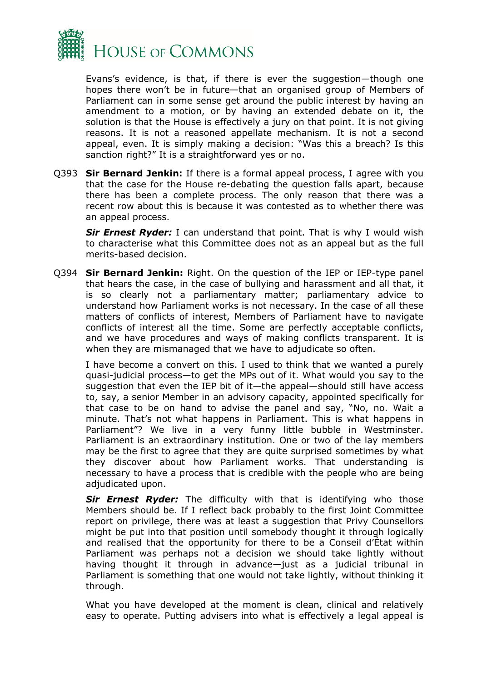

Evans's evidence, is that, if there is ever the suggestion—though one hopes there won't be in future—that an organised group of Members of Parliament can in some sense get around the public interest by having an amendment to a motion, or by having an extended debate on it, the solution is that the House is effectively a jury on that point. It is not giving reasons. It is not a reasoned appellate mechanism. It is not a second appeal, even. It is simply making a decision: "Was this a breach? Is this sanction right?" It is a straightforward yes or no.

Q393 **Sir Bernard Jenkin:** If there is a formal appeal process, I agree with you that the case for the House re-debating the question falls apart, because there has been a complete process. The only reason that there was a recent row about this is because it was contested as to whether there was an appeal process.

*Sir Ernest Ryder:* I can understand that point. That is why I would wish to characterise what this Committee does not as an appeal but as the full merits-based decision.

Q394 **Sir Bernard Jenkin:** Right. On the question of the IEP or IEP-type panel that hears the case, in the case of bullying and harassment and all that, it is so clearly not a parliamentary matter; parliamentary advice to understand how Parliament works is not necessary. In the case of all these matters of conflicts of interest, Members of Parliament have to navigate conflicts of interest all the time. Some are perfectly acceptable conflicts, and we have procedures and ways of making conflicts transparent. It is when they are mismanaged that we have to adjudicate so often.

I have become a convert on this. I used to think that we wanted a purely quasi-judicial process—to get the MPs out of it. What would you say to the suggestion that even the IEP bit of it—the appeal—should still have access to, say, a senior Member in an advisory capacity, appointed specifically for that case to be on hand to advise the panel and say, "No, no. Wait a minute. That's not what happens in Parliament. This is what happens in Parliament"? We live in a very funny little bubble in Westminster. Parliament is an extraordinary institution. One or two of the lay members may be the first to agree that they are quite surprised sometimes by what they discover about how Parliament works. That understanding is necessary to have a process that is credible with the people who are being adjudicated upon.

*Sir Ernest Ryder:* The difficulty with that is identifying who those Members should be. If I reflect back probably to the first Joint Committee report on privilege, there was at least a suggestion that Privy Counsellors might be put into that position until somebody thought it through logically and realised that the opportunity for there to be a Conseil d'État within Parliament was perhaps not a decision we should take lightly without having thought it through in advance—just as a judicial tribunal in Parliament is something that one would not take lightly, without thinking it through.

What you have developed at the moment is clean, clinical and relatively easy to operate. Putting advisers into what is effectively a legal appeal is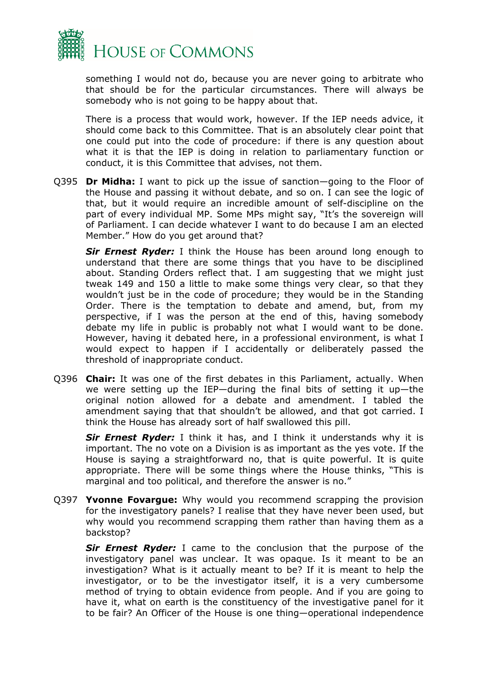

something I would not do, because you are never going to arbitrate who that should be for the particular circumstances. There will always be somebody who is not going to be happy about that.

There is a process that would work, however. If the IEP needs advice, it should come back to this Committee. That is an absolutely clear point that one could put into the code of procedure: if there is any question about what it is that the IEP is doing in relation to parliamentary function or conduct, it is this Committee that advises, not them.

Q395 **Dr Midha:** I want to pick up the issue of sanction—going to the Floor of the House and passing it without debate, and so on. I can see the logic of that, but it would require an incredible amount of self-discipline on the part of every individual MP. Some MPs might say, "It's the sovereign will of Parliament. I can decide whatever I want to do because I am an elected Member." How do you get around that?

*Sir Ernest Ryder:* I think the House has been around long enough to understand that there are some things that you have to be disciplined about. Standing Orders reflect that. I am suggesting that we might just tweak 149 and 150 a little to make some things very clear, so that they wouldn't just be in the code of procedure; they would be in the Standing Order. There is the temptation to debate and amend, but, from my perspective, if I was the person at the end of this, having somebody debate my life in public is probably not what I would want to be done. However, having it debated here, in a professional environment, is what I would expect to happen if I accidentally or deliberately passed the threshold of inappropriate conduct.

Q396 **Chair:** It was one of the first debates in this Parliament, actually. When we were setting up the IEP—during the final bits of setting it up—the original notion allowed for a debate and amendment. I tabled the amendment saying that that shouldn't be allowed, and that got carried. I think the House has already sort of half swallowed this pill.

**Sir Ernest Ryder:** I think it has, and I think it understands why it is important. The no vote on a Division is as important as the yes vote. If the House is saying a straightforward no, that is quite powerful. It is quite appropriate. There will be some things where the House thinks, "This is marginal and too political, and therefore the answer is no."

Q397 **Yvonne Fovargue:** Why would you recommend scrapping the provision for the investigatory panels? I realise that they have never been used, but why would you recommend scrapping them rather than having them as a backstop?

*Sir Ernest Ryder:* I came to the conclusion that the purpose of the investigatory panel was unclear. It was opaque. Is it meant to be an investigation? What is it actually meant to be? If it is meant to help the investigator, or to be the investigator itself, it is a very cumbersome method of trying to obtain evidence from people. And if you are going to have it, what on earth is the constituency of the investigative panel for it to be fair? An Officer of the House is one thing—operational independence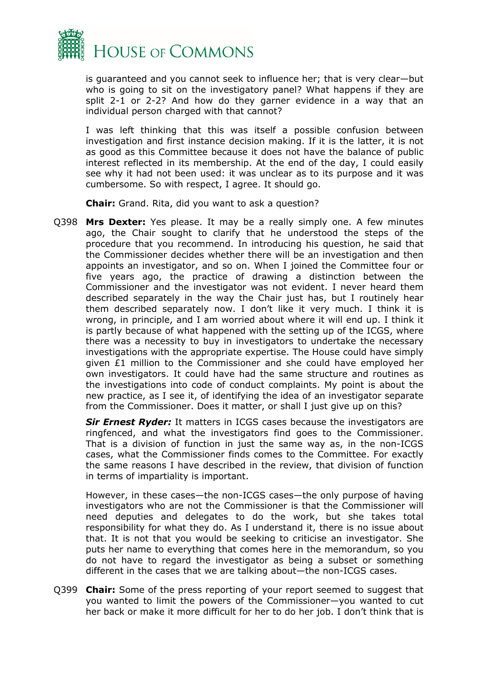

is guaranteed and you cannot seek to influence her; that is very clear—but who is going to sit on the investigatory panel? What happens if they are split 2-1 or 2-2? And how do they garner evidence in a way that an individual person charged with that cannot?

I was left thinking that this was itself a possible confusion between investigation and first instance decision making. If it is the latter, it is not as good as this Committee because it does not have the balance of public interest reflected in its membership. At the end of the day, I could easily see why it had not been used: it was unclear as to its purpose and it was cumbersome. So with respect, I agree. It should go.

**Chair:** Grand. Rita, did you want to ask a question?

Q398 **Mrs Dexter:** Yes please. It may be a really simply one. A few minutes ago, the Chair sought to clarify that he understood the steps of the procedure that you recommend. In introducing his question, he said that the Commissioner decides whether there will be an investigation and then appoints an investigator, and so on. When I joined the Committee four or five years ago, the practice of drawing a distinction between the Commissioner and the investigator was not evident. I never heard them described separately in the way the Chair just has, but I routinely hear them described separately now. I don't like it very much. I think it is wrong, in principle, and I am worried about where it will end up. I think it is partly because of what happened with the setting up of the ICGS, where there was a necessity to buy in investigators to undertake the necessary investigations with the appropriate expertise. The House could have simply given £1 million to the Commissioner and she could have employed her own investigators. It could have had the same structure and routines as the investigations into code of conduct complaints. My point is about the new practice, as I see it, of identifying the idea of an investigator separate from the Commissioner. Does it matter, or shall I just give up on this?

*Sir Ernest Ryder:* It matters in ICGS cases because the investigators are ringfenced, and what the investigators find goes to the Commissioner. That is a division of function in just the same way as, in the non-ICGS cases, what the Commissioner finds comes to the Committee. For exactly the same reasons I have described in the review, that division of function in terms of impartiality is important.

However, in these cases—the non-ICGS cases—the only purpose of having investigators who are not the Commissioner is that the Commissioner will need deputies and delegates to do the work, but she takes total responsibility for what they do. As I understand it, there is no issue about that. It is not that you would be seeking to criticise an investigator. She puts her name to everything that comes here in the memorandum, so you do not have to regard the investigator as being a subset or something different in the cases that we are talking about—the non-ICGS cases.

Q399 **Chair:** Some of the press reporting of your report seemed to suggest that you wanted to limit the powers of the Commissioner—you wanted to cut her back or make it more difficult for her to do her job. I don't think that is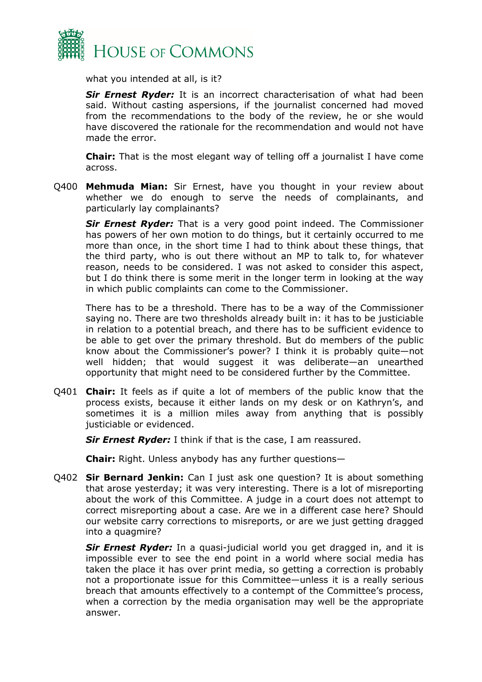

what you intended at all, is it?

*Sir Ernest Ryder:* It is an incorrect characterisation of what had been said. Without casting aspersions, if the journalist concerned had moved from the recommendations to the body of the review, he or she would have discovered the rationale for the recommendation and would not have made the error.

**Chair:** That is the most elegant way of telling off a journalist I have come across.

Q400 **Mehmuda Mian:** Sir Ernest, have you thought in your review about whether we do enough to serve the needs of complainants, and particularly lay complainants?

*Sir Ernest Ryder:* That is a very good point indeed. The Commissioner has powers of her own motion to do things, but it certainly occurred to me more than once, in the short time I had to think about these things, that the third party, who is out there without an MP to talk to, for whatever reason, needs to be considered. I was not asked to consider this aspect, but I do think there is some merit in the longer term in looking at the way in which public complaints can come to the Commissioner.

There has to be a threshold. There has to be a way of the Commissioner saying no. There are two thresholds already built in: it has to be justiciable in relation to a potential breach, and there has to be sufficient evidence to be able to get over the primary threshold. But do members of the public know about the Commissioner's power? I think it is probably quite—not well hidden; that would suggest it was deliberate—an unearthed opportunity that might need to be considered further by the Committee.

Q401 **Chair:** It feels as if quite a lot of members of the public know that the process exists, because it either lands on my desk or on Kathryn's, and sometimes it is a million miles away from anything that is possibly justiciable or evidenced.

*Sir Ernest Ryder:* I think if that is the case, I am reassured.

**Chair:** Right. Unless anybody has any further questions—

Q402 **Sir Bernard Jenkin:** Can I just ask one question? It is about something that arose yesterday; it was very interesting. There is a lot of misreporting about the work of this Committee. A judge in a court does not attempt to correct misreporting about a case. Are we in a different case here? Should our website carry corrections to misreports, or are we just getting dragged into a quagmire?

*Sir Ernest Ryder:* In a quasi-judicial world you get dragged in, and it is impossible ever to see the end point in a world where social media has taken the place it has over print media, so getting a correction is probably not a proportionate issue for this Committee—unless it is a really serious breach that amounts effectively to a contempt of the Committee's process, when a correction by the media organisation may well be the appropriate answer.